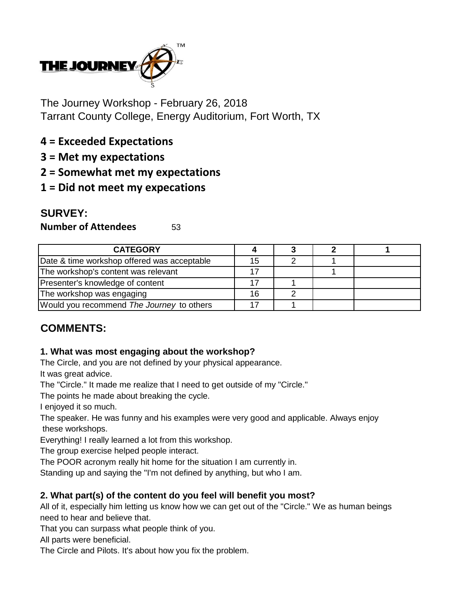

The Journey Workshop - February 26, 2018 Tarrant County College, Energy Auditorium, Fort Worth, TX

- **4 = Exceeded Expectations**
- **3 = Met my expectations**
- **2 = Somewhat met my expectations**
- **1 = Did not meet my expecations**

# **SURVEY:**

**Number of Attendees** 53

| <b>CATEGORY</b>                             |    |  |  |
|---------------------------------------------|----|--|--|
| Date & time workshop offered was acceptable | 15 |  |  |
| The workshop's content was relevant         |    |  |  |
| Presenter's knowledge of content            |    |  |  |
| The workshop was engaging                   | 16 |  |  |
| Would you recommend The Journey to others   |    |  |  |

# **COMMENTS:**

## **1. What was most engaging about the workshop?**

The Circle, and you are not defined by your physical appearance.

It was great advice.

The "Circle." It made me realize that I need to get outside of my "Circle."

The points he made about breaking the cycle.

I enjoyed it so much.

The speaker. He was funny and his examples were very good and applicable. Always enjoy these workshops.

Everything! I really learned a lot from this workshop.

The group exercise helped people interact.

The POOR acronym really hit home for the situation I am currently in.

Standing up and saying the "I'm not defined by anything, but who I am.

## **2. What part(s) of the content do you feel will benefit you most?**

All of it, especially him letting us know how we can get out of the "Circle." We as human beings need to hear and believe that.

That you can surpass what people think of you.

All parts were beneficial.

The Circle and Pilots. It's about how you fix the problem.